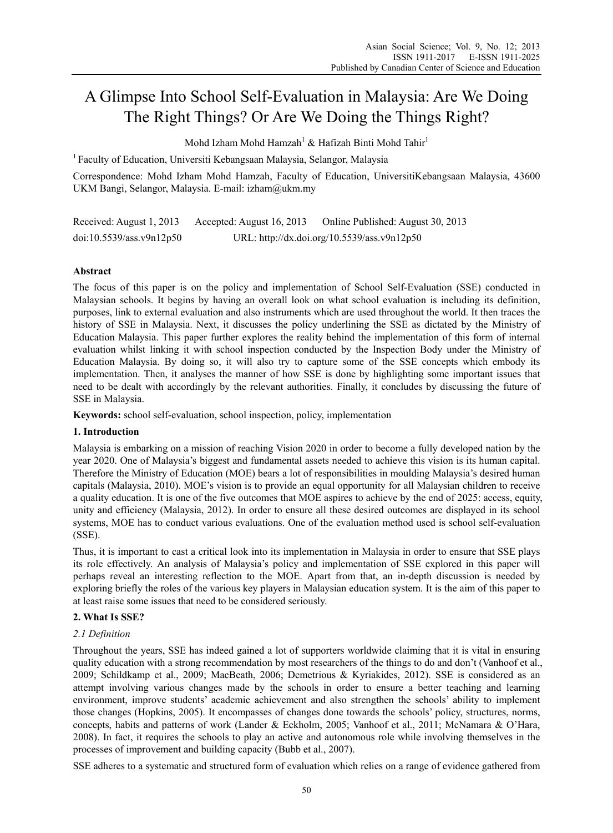# A Glimpse Into School Self-Evaluation in Malaysia: Are We Doing The Right Things? Or Are We Doing the Things Right?

Mohd Izham Mohd Hamzah<sup>1</sup> & Hafizah Binti Mohd Tahir<sup>1</sup>

1 Faculty of Education, Universiti Kebangsaan Malaysia, Selangor, Malaysia

Correspondence: Mohd Izham Mohd Hamzah, Faculty of Education, UniversitiKebangsaan Malaysia, 43600 UKM Bangi, Selangor, Malaysia. E-mail: izham@ukm.my

Received: August 1, 2013 Accepted: August 16, 2013 Online Published: August 30, 2013 doi:10.5539/ass.v9n12p50 URL: http://dx.doi.org/10.5539/ass.v9n12p50

# **Abstract**

The focus of this paper is on the policy and implementation of School Self-Evaluation (SSE) conducted in Malaysian schools. It begins by having an overall look on what school evaluation is including its definition, purposes, link to external evaluation and also instruments which are used throughout the world. It then traces the history of SSE in Malaysia. Next, it discusses the policy underlining the SSE as dictated by the Ministry of Education Malaysia. This paper further explores the reality behind the implementation of this form of internal evaluation whilst linking it with school inspection conducted by the Inspection Body under the Ministry of Education Malaysia. By doing so, it will also try to capture some of the SSE concepts which embody its implementation. Then, it analyses the manner of how SSE is done by highlighting some important issues that need to be dealt with accordingly by the relevant authorities. Finally, it concludes by discussing the future of SSE in Malaysia.

**Keywords:** school self-evaluation, school inspection, policy, implementation

# **1. Introduction**

Malaysia is embarking on a mission of reaching Vision 2020 in order to become a fully developed nation by the year 2020. One of Malaysia's biggest and fundamental assets needed to achieve this vision is its human capital. Therefore the Ministry of Education (MOE) bears a lot of responsibilities in moulding Malaysia's desired human capitals (Malaysia, 2010). MOE's vision is to provide an equal opportunity for all Malaysian children to receive a quality education. It is one of the five outcomes that MOE aspires to achieve by the end of 2025: access, equity, unity and efficiency (Malaysia, 2012). In order to ensure all these desired outcomes are displayed in its school systems, MOE has to conduct various evaluations. One of the evaluation method used is school self-evaluation (SSE).

Thus, it is important to cast a critical look into its implementation in Malaysia in order to ensure that SSE plays its role effectively. An analysis of Malaysia's policy and implementation of SSE explored in this paper will perhaps reveal an interesting reflection to the MOE. Apart from that, an in-depth discussion is needed by exploring briefly the roles of the various key players in Malaysian education system. It is the aim of this paper to at least raise some issues that need to be considered seriously.

# **2. What Is SSE?**

# *2.1 Definition*

Throughout the years, SSE has indeed gained a lot of supporters worldwide claiming that it is vital in ensuring quality education with a strong recommendation by most researchers of the things to do and don't (Vanhoof et al., 2009; Schildkamp et al., 2009; MacBeath, 2006; Demetrious & Kyriakides, 2012). SSE is considered as an attempt involving various changes made by the schools in order to ensure a better teaching and learning environment, improve students' academic achievement and also strengthen the schools' ability to implement those changes (Hopkins, 2005). It encompasses of changes done towards the schools' policy, structures, norms, concepts, habits and patterns of work (Lander & Eckholm, 2005; Vanhoof et al., 2011; McNamara & O'Hara, 2008). In fact, it requires the schools to play an active and autonomous role while involving themselves in the processes of improvement and building capacity (Bubb et al., 2007).

SSE adheres to a systematic and structured form of evaluation which relies on a range of evidence gathered from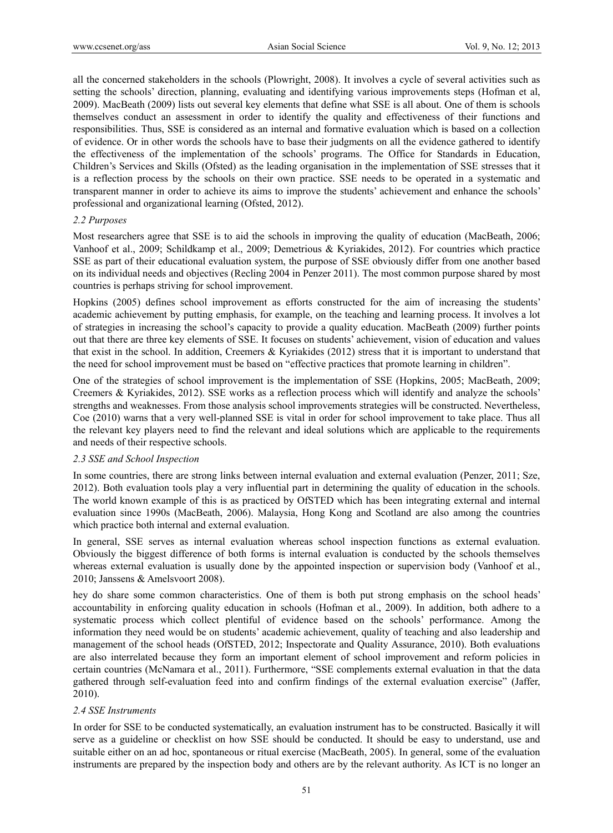all the concerned stakeholders in the schools (Plowright, 2008). It involves a cycle of several activities such as setting the schools' direction, planning, evaluating and identifying various improvements steps (Hofman et al, 2009). MacBeath (2009) lists out several key elements that define what SSE is all about. One of them is schools themselves conduct an assessment in order to identify the quality and effectiveness of their functions and responsibilities. Thus, SSE is considered as an internal and formative evaluation which is based on a collection of evidence. Or in other words the schools have to base their judgments on all the evidence gathered to identify the effectiveness of the implementation of the schools' programs. The Office for Standards in Education, Children's Services and Skills (Ofsted) as the leading organisation in the implementation of SSE stresses that it is a reflection process by the schools on their own practice. SSE needs to be operated in a systematic and transparent manner in order to achieve its aims to improve the students' achievement and enhance the schools' professional and organizational learning (Ofsted, 2012).

### *2.2 Purposes*

Most researchers agree that SSE is to aid the schools in improving the quality of education (MacBeath, 2006; Vanhoof et al., 2009; Schildkamp et al., 2009; Demetrious & Kyriakides, 2012). For countries which practice SSE as part of their educational evaluation system, the purpose of SSE obviously differ from one another based on its individual needs and objectives (Recling 2004 in Penzer 2011). The most common purpose shared by most countries is perhaps striving for school improvement.

Hopkins (2005) defines school improvement as efforts constructed for the aim of increasing the students' academic achievement by putting emphasis, for example, on the teaching and learning process. It involves a lot of strategies in increasing the school's capacity to provide a quality education. MacBeath (2009) further points out that there are three key elements of SSE. It focuses on students' achievement, vision of education and values that exist in the school. In addition, Creemers & Kyriakides (2012) stress that it is important to understand that the need for school improvement must be based on "effective practices that promote learning in children".

One of the strategies of school improvement is the implementation of SSE (Hopkins, 2005; MacBeath, 2009; Creemers & Kyriakides, 2012). SSE works as a reflection process which will identify and analyze the schools' strengths and weaknesses. From those analysis school improvements strategies will be constructed. Nevertheless, Coe (2010) warns that a very well-planned SSE is vital in order for school improvement to take place. Thus all the relevant key players need to find the relevant and ideal solutions which are applicable to the requirements and needs of their respective schools.

#### *2.3 SSE and School Inspection*

In some countries, there are strong links between internal evaluation and external evaluation (Penzer, 2011; Sze, 2012). Both evaluation tools play a very influential part in determining the quality of education in the schools. The world known example of this is as practiced by OfSTED which has been integrating external and internal evaluation since 1990s (MacBeath, 2006). Malaysia, Hong Kong and Scotland are also among the countries which practice both internal and external evaluation.

In general, SSE serves as internal evaluation whereas school inspection functions as external evaluation. Obviously the biggest difference of both forms is internal evaluation is conducted by the schools themselves whereas external evaluation is usually done by the appointed inspection or supervision body (Vanhoof et al., 2010; Janssens & Amelsvoort 2008).

hey do share some common characteristics. One of them is both put strong emphasis on the school heads' accountability in enforcing quality education in schools (Hofman et al., 2009). In addition, both adhere to a systematic process which collect plentiful of evidence based on the schools' performance. Among the information they need would be on students' academic achievement, quality of teaching and also leadership and management of the school heads (OfSTED, 2012; Inspectorate and Quality Assurance, 2010). Both evaluations are also interrelated because they form an important element of school improvement and reform policies in certain countries (McNamara et al., 2011). Furthermore, "SSE complements external evaluation in that the data gathered through self-evaluation feed into and confirm findings of the external evaluation exercise" (Jaffer, 2010).

#### *2.4 SSE Instruments*

In order for SSE to be conducted systematically, an evaluation instrument has to be constructed. Basically it will serve as a guideline or checklist on how SSE should be conducted. It should be easy to understand, use and suitable either on an ad hoc, spontaneous or ritual exercise (MacBeath, 2005). In general, some of the evaluation instruments are prepared by the inspection body and others are by the relevant authority. As ICT is no longer an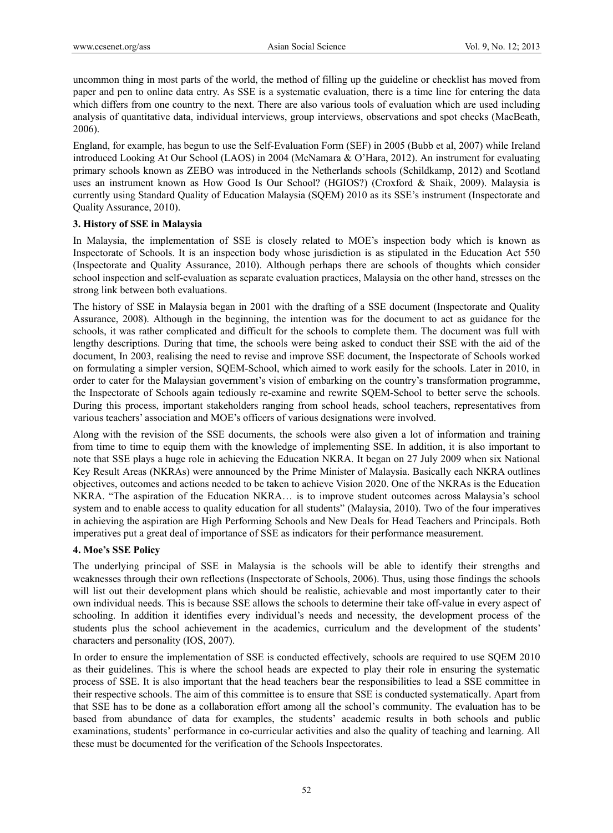uncommon thing in most parts of the world, the method of filling up the guideline or checklist has moved from paper and pen to online data entry. As SSE is a systematic evaluation, there is a time line for entering the data which differs from one country to the next. There are also various tools of evaluation which are used including analysis of quantitative data, individual interviews, group interviews, observations and spot checks (MacBeath, 2006).

England, for example, has begun to use the Self-Evaluation Form (SEF) in 2005 (Bubb et al, 2007) while Ireland introduced Looking At Our School (LAOS) in 2004 (McNamara & O'Hara, 2012). An instrument for evaluating primary schools known as ZEBO was introduced in the Netherlands schools (Schildkamp, 2012) and Scotland uses an instrument known as How Good Is Our School? (HGIOS?) (Croxford & Shaik, 2009). Malaysia is currently using Standard Quality of Education Malaysia (SQEM) 2010 as its SSE's instrument (Inspectorate and Quality Assurance, 2010).

### **3. History of SSE in Malaysia**

In Malaysia, the implementation of SSE is closely related to MOE's inspection body which is known as Inspectorate of Schools. It is an inspection body whose jurisdiction is as stipulated in the Education Act 550 (Inspectorate and Quality Assurance, 2010). Although perhaps there are schools of thoughts which consider school inspection and self-evaluation as separate evaluation practices, Malaysia on the other hand, stresses on the strong link between both evaluations.

The history of SSE in Malaysia began in 2001 with the drafting of a SSE document (Inspectorate and Quality Assurance, 2008). Although in the beginning, the intention was for the document to act as guidance for the schools, it was rather complicated and difficult for the schools to complete them. The document was full with lengthy descriptions. During that time, the schools were being asked to conduct their SSE with the aid of the document, In 2003, realising the need to revise and improve SSE document, the Inspectorate of Schools worked on formulating a simpler version, SQEM-School, which aimed to work easily for the schools. Later in 2010, in order to cater for the Malaysian government's vision of embarking on the country's transformation programme, the Inspectorate of Schools again tediously re-examine and rewrite SQEM-School to better serve the schools. During this process, important stakeholders ranging from school heads, school teachers, representatives from various teachers' association and MOE's officers of various designations were involved.

Along with the revision of the SSE documents, the schools were also given a lot of information and training from time to time to equip them with the knowledge of implementing SSE. In addition, it is also important to note that SSE plays a huge role in achieving the Education NKRA. It began on 27 July 2009 when six National Key Result Areas (NKRAs) were announced by the Prime Minister of Malaysia. Basically each NKRA outlines objectives, outcomes and actions needed to be taken to achieve Vision 2020. One of the NKRAs is the Education NKRA. "The aspiration of the Education NKRA… is to improve student outcomes across Malaysia's school system and to enable access to quality education for all students" (Malaysia, 2010). Two of the four imperatives in achieving the aspiration are High Performing Schools and New Deals for Head Teachers and Principals. Both imperatives put a great deal of importance of SSE as indicators for their performance measurement.

#### **4. Moe's SSE Policy**

The underlying principal of SSE in Malaysia is the schools will be able to identify their strengths and weaknesses through their own reflections (Inspectorate of Schools, 2006). Thus, using those findings the schools will list out their development plans which should be realistic, achievable and most importantly cater to their own individual needs. This is because SSE allows the schools to determine their take off-value in every aspect of schooling. In addition it identifies every individual's needs and necessity, the development process of the students plus the school achievement in the academics, curriculum and the development of the students' characters and personality (IOS, 2007).

In order to ensure the implementation of SSE is conducted effectively, schools are required to use SQEM 2010 as their guidelines. This is where the school heads are expected to play their role in ensuring the systematic process of SSE. It is also important that the head teachers bear the responsibilities to lead a SSE committee in their respective schools. The aim of this committee is to ensure that SSE is conducted systematically. Apart from that SSE has to be done as a collaboration effort among all the school's community. The evaluation has to be based from abundance of data for examples, the students' academic results in both schools and public examinations, students' performance in co-curricular activities and also the quality of teaching and learning. All these must be documented for the verification of the Schools Inspectorates.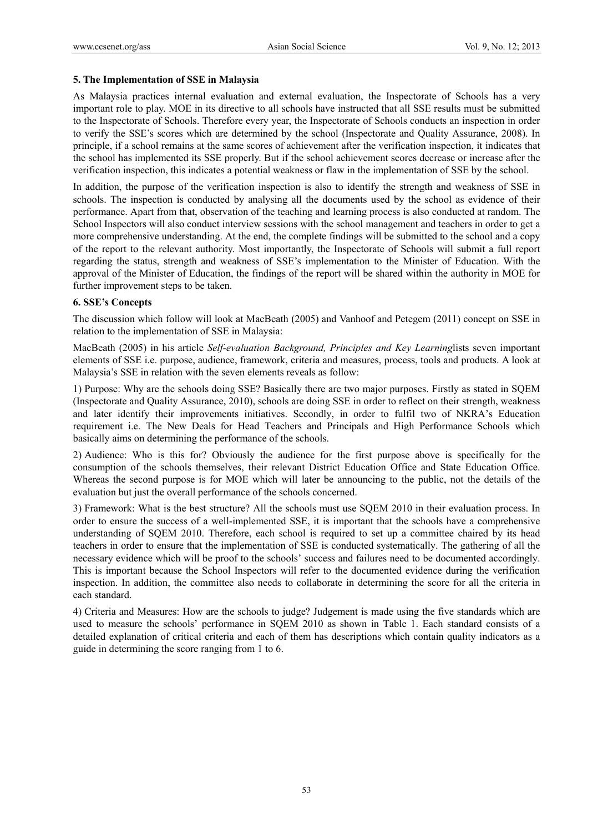#### **5. The Implementation of SSE in Malaysia**

As Malaysia practices internal evaluation and external evaluation, the Inspectorate of Schools has a very important role to play. MOE in its directive to all schools have instructed that all SSE results must be submitted to the Inspectorate of Schools. Therefore every year, the Inspectorate of Schools conducts an inspection in order to verify the SSE's scores which are determined by the school (Inspectorate and Quality Assurance, 2008). In principle, if a school remains at the same scores of achievement after the verification inspection, it indicates that the school has implemented its SSE properly. But if the school achievement scores decrease or increase after the verification inspection, this indicates a potential weakness or flaw in the implementation of SSE by the school.

In addition, the purpose of the verification inspection is also to identify the strength and weakness of SSE in schools. The inspection is conducted by analysing all the documents used by the school as evidence of their performance. Apart from that, observation of the teaching and learning process is also conducted at random. The School Inspectors will also conduct interview sessions with the school management and teachers in order to get a more comprehensive understanding. At the end, the complete findings will be submitted to the school and a copy of the report to the relevant authority. Most importantly, the Inspectorate of Schools will submit a full report regarding the status, strength and weakness of SSE's implementation to the Minister of Education. With the approval of the Minister of Education, the findings of the report will be shared within the authority in MOE for further improvement steps to be taken.

### **6. SSE's Concepts**

The discussion which follow will look at MacBeath (2005) and Vanhoof and Petegem (2011) concept on SSE in relation to the implementation of SSE in Malaysia:

MacBeath (2005) in his article *Self-evaluation Background, Principles and Key Learning*lists seven important elements of SSE i.e. purpose, audience, framework, criteria and measures, process, tools and products. A look at Malaysia's SSE in relation with the seven elements reveals as follow:

1) Purpose: Why are the schools doing SSE? Basically there are two major purposes. Firstly as stated in SQEM (Inspectorate and Quality Assurance, 2010), schools are doing SSE in order to reflect on their strength, weakness and later identify their improvements initiatives. Secondly, in order to fulfil two of NKRA's Education requirement i.e. The New Deals for Head Teachers and Principals and High Performance Schools which basically aims on determining the performance of the schools.

2) Audience: Who is this for? Obviously the audience for the first purpose above is specifically for the consumption of the schools themselves, their relevant District Education Office and State Education Office. Whereas the second purpose is for MOE which will later be announcing to the public, not the details of the evaluation but just the overall performance of the schools concerned.

3) Framework: What is the best structure? All the schools must use SQEM 2010 in their evaluation process. In order to ensure the success of a well-implemented SSE, it is important that the schools have a comprehensive understanding of SQEM 2010. Therefore, each school is required to set up a committee chaired by its head teachers in order to ensure that the implementation of SSE is conducted systematically. The gathering of all the necessary evidence which will be proof to the schools' success and failures need to be documented accordingly. This is important because the School Inspectors will refer to the documented evidence during the verification inspection. In addition, the committee also needs to collaborate in determining the score for all the criteria in each standard.

4) Criteria and Measures: How are the schools to judge? Judgement is made using the five standards which are used to measure the schools' performance in SQEM 2010 as shown in Table 1. Each standard consists of a detailed explanation of critical criteria and each of them has descriptions which contain quality indicators as a guide in determining the score ranging from 1 to 6.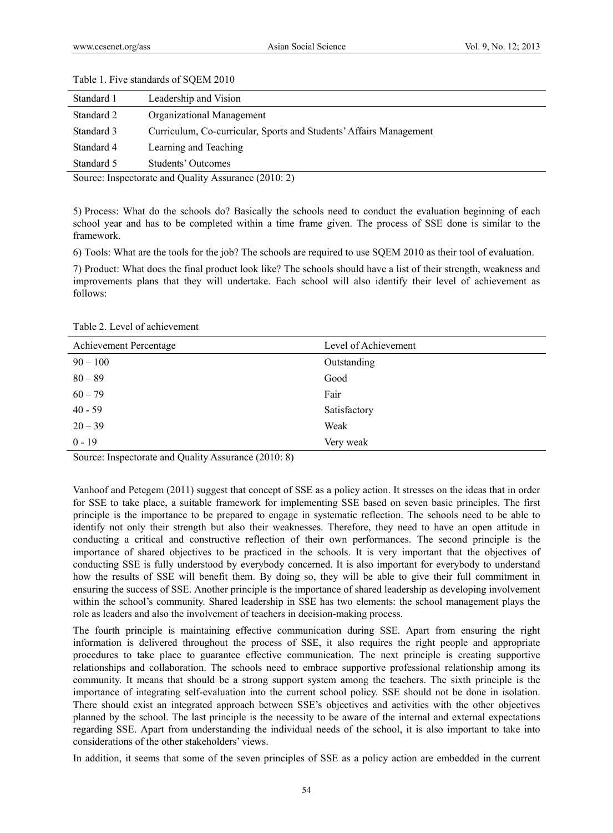| Standard 1 | Leadership and Vision                                              |  |
|------------|--------------------------------------------------------------------|--|
| Standard 2 | Organizational Management                                          |  |
| Standard 3 | Curriculum, Co-curricular, Sports and Students' Affairs Management |  |
| Standard 4 | Learning and Teaching                                              |  |
| Standard 5 | Students' Outcomes                                                 |  |

Table 1. Five standards of SQEM 2010

Source: Inspectorate and Quality Assurance (2010: 2)

5) Process: What do the schools do? Basically the schools need to conduct the evaluation beginning of each school year and has to be completed within a time frame given. The process of SSE done is similar to the framework.

6) Tools: What are the tools for the job? The schools are required to use SQEM 2010 as their tool of evaluation.

7) Product: What does the final product look like? The schools should have a list of their strength, weakness and improvements plans that they will undertake. Each school will also identify their level of achievement as follows:

Table 2. Level of achievement

| Achievement Percentage | Level of Achievement |
|------------------------|----------------------|
| $90 - 100$             | Outstanding          |
| $80 - 89$              | Good                 |
| $60 - 79$              | Fair                 |
| $40 - 59$              | Satisfactory         |
| $20 - 39$              | Weak                 |
| $0 - 19$               | Very weak            |

Source: Inspectorate and Quality Assurance (2010: 8)

Vanhoof and Petegem (2011) suggest that concept of SSE as a policy action. It stresses on the ideas that in order for SSE to take place, a suitable framework for implementing SSE based on seven basic principles. The first principle is the importance to be prepared to engage in systematic reflection. The schools need to be able to identify not only their strength but also their weaknesses. Therefore, they need to have an open attitude in conducting a critical and constructive reflection of their own performances. The second principle is the importance of shared objectives to be practiced in the schools. It is very important that the objectives of conducting SSE is fully understood by everybody concerned. It is also important for everybody to understand how the results of SSE will benefit them. By doing so, they will be able to give their full commitment in ensuring the success of SSE. Another principle is the importance of shared leadership as developing involvement within the school's community. Shared leadership in SSE has two elements: the school management plays the role as leaders and also the involvement of teachers in decision-making process.

The fourth principle is maintaining effective communication during SSE. Apart from ensuring the right information is delivered throughout the process of SSE, it also requires the right people and appropriate procedures to take place to guarantee effective communication. The next principle is creating supportive relationships and collaboration. The schools need to embrace supportive professional relationship among its community. It means that should be a strong support system among the teachers. The sixth principle is the importance of integrating self-evaluation into the current school policy. SSE should not be done in isolation. There should exist an integrated approach between SSE's objectives and activities with the other objectives planned by the school. The last principle is the necessity to be aware of the internal and external expectations regarding SSE. Apart from understanding the individual needs of the school, it is also important to take into considerations of the other stakeholders' views.

In addition, it seems that some of the seven principles of SSE as a policy action are embedded in the current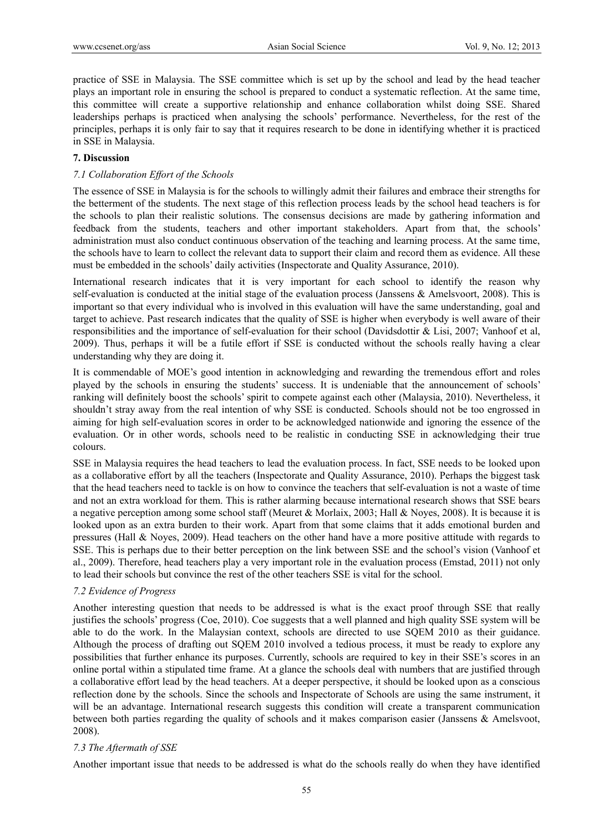practice of SSE in Malaysia. The SSE committee which is set up by the school and lead by the head teacher plays an important role in ensuring the school is prepared to conduct a systematic reflection. At the same time, this committee will create a supportive relationship and enhance collaboration whilst doing SSE. Shared leaderships perhaps is practiced when analysing the schools' performance. Nevertheless, for the rest of the principles, perhaps it is only fair to say that it requires research to be done in identifying whether it is practiced in SSE in Malaysia.

#### **7. Discussion**

### *7.1 Collaboration Effort of the Schools*

The essence of SSE in Malaysia is for the schools to willingly admit their failures and embrace their strengths for the betterment of the students. The next stage of this reflection process leads by the school head teachers is for the schools to plan their realistic solutions. The consensus decisions are made by gathering information and feedback from the students, teachers and other important stakeholders. Apart from that, the schools' administration must also conduct continuous observation of the teaching and learning process. At the same time, the schools have to learn to collect the relevant data to support their claim and record them as evidence. All these must be embedded in the schools' daily activities (Inspectorate and Quality Assurance, 2010).

International research indicates that it is very important for each school to identify the reason why self-evaluation is conducted at the initial stage of the evaluation process (Janssens & Amelsvoort, 2008). This is important so that every individual who is involved in this evaluation will have the same understanding, goal and target to achieve. Past research indicates that the quality of SSE is higher when everybody is well aware of their responsibilities and the importance of self-evaluation for their school (Davidsdottir & Lisi, 2007; Vanhoof et al, 2009). Thus, perhaps it will be a futile effort if SSE is conducted without the schools really having a clear understanding why they are doing it.

It is commendable of MOE's good intention in acknowledging and rewarding the tremendous effort and roles played by the schools in ensuring the students' success. It is undeniable that the announcement of schools' ranking will definitely boost the schools' spirit to compete against each other (Malaysia, 2010). Nevertheless, it shouldn't stray away from the real intention of why SSE is conducted. Schools should not be too engrossed in aiming for high self-evaluation scores in order to be acknowledged nationwide and ignoring the essence of the evaluation. Or in other words, schools need to be realistic in conducting SSE in acknowledging their true colours.

SSE in Malaysia requires the head teachers to lead the evaluation process. In fact, SSE needs to be looked upon as a collaborative effort by all the teachers (Inspectorate and Quality Assurance, 2010). Perhaps the biggest task that the head teachers need to tackle is on how to convince the teachers that self-evaluation is not a waste of time and not an extra workload for them. This is rather alarming because international research shows that SSE bears a negative perception among some school staff (Meuret & Morlaix, 2003; Hall & Noyes, 2008). It is because it is looked upon as an extra burden to their work. Apart from that some claims that it adds emotional burden and pressures (Hall & Noyes, 2009). Head teachers on the other hand have a more positive attitude with regards to SSE. This is perhaps due to their better perception on the link between SSE and the school's vision (Vanhoof et al., 2009). Therefore, head teachers play a very important role in the evaluation process (Emstad, 2011) not only to lead their schools but convince the rest of the other teachers SSE is vital for the school.

#### *7.2 Evidence of Progress*

Another interesting question that needs to be addressed is what is the exact proof through SSE that really justifies the schools' progress (Coe, 2010). Coe suggests that a well planned and high quality SSE system will be able to do the work. In the Malaysian context, schools are directed to use SQEM 2010 as their guidance. Although the process of drafting out SQEM 2010 involved a tedious process, it must be ready to explore any possibilities that further enhance its purposes. Currently, schools are required to key in their SSE's scores in an online portal within a stipulated time frame. At a glance the schools deal with numbers that are justified through a collaborative effort lead by the head teachers. At a deeper perspective, it should be looked upon as a conscious reflection done by the schools. Since the schools and Inspectorate of Schools are using the same instrument, it will be an advantage. International research suggests this condition will create a transparent communication between both parties regarding the quality of schools and it makes comparison easier (Janssens & Amelsvoot, 2008).

#### *7.3 The Aftermath of SSE*

Another important issue that needs to be addressed is what do the schools really do when they have identified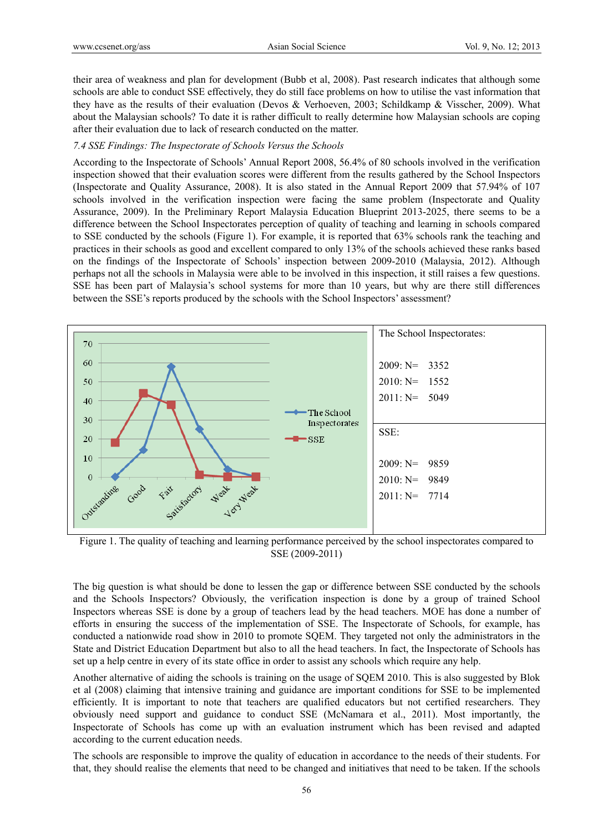their area of weakness and plan for development (Bubb et al, 2008). Past research indicates that although some schools are able to conduct SSE effectively, they do still face problems on how to utilise the vast information that they have as the results of their evaluation (Devos & Verhoeven, 2003; Schildkamp & Visscher, 2009). What about the Malaysian schools? To date it is rather difficult to really determine how Malaysian schools are coping after their evaluation due to lack of research conducted on the matter.

### *7.4 SSE Findings: The Inspectorate of Schools Versus the Schools*

According to the Inspectorate of Schools' Annual Report 2008, 56.4% of 80 schools involved in the verification inspection showed that their evaluation scores were different from the results gathered by the School Inspectors (Inspectorate and Quality Assurance, 2008). It is also stated in the Annual Report 2009 that 57.94% of 107 schools involved in the verification inspection were facing the same problem (Inspectorate and Quality Assurance, 2009). In the Preliminary Report Malaysia Education Blueprint 2013-2025, there seems to be a difference between the School Inspectorates perception of quality of teaching and learning in schools compared to SSE conducted by the schools (Figure 1). For example, it is reported that 63% schools rank the teaching and practices in their schools as good and excellent compared to only 13% of the schools achieved these ranks based on the findings of the Inspectorate of Schools' inspection between 2009-2010 (Malaysia, 2012). Although perhaps not all the schools in Malaysia were able to be involved in this inspection, it still raises a few questions. SSE has been part of Malaysia's school systems for more than 10 years, but why are there still differences between the SSE's reports produced by the schools with the School Inspectors' assessment?



Figure 1. The quality of teaching and learning performance perceived by the school inspectorates compared to SSE (2009-2011)

The big question is what should be done to lessen the gap or difference between SSE conducted by the schools and the Schools Inspectors? Obviously, the verification inspection is done by a group of trained School Inspectors whereas SSE is done by a group of teachers lead by the head teachers. MOE has done a number of efforts in ensuring the success of the implementation of SSE. The Inspectorate of Schools, for example, has conducted a nationwide road show in 2010 to promote SQEM. They targeted not only the administrators in the State and District Education Department but also to all the head teachers. In fact, the Inspectorate of Schools has set up a help centre in every of its state office in order to assist any schools which require any help.

Another alternative of aiding the schools is training on the usage of SQEM 2010. This is also suggested by Blok et al (2008) claiming that intensive training and guidance are important conditions for SSE to be implemented efficiently. It is important to note that teachers are qualified educators but not certified researchers. They obviously need support and guidance to conduct SSE (McNamara et al., 2011). Most importantly, the Inspectorate of Schools has come up with an evaluation instrument which has been revised and adapted according to the current education needs.

The schools are responsible to improve the quality of education in accordance to the needs of their students. For that, they should realise the elements that need to be changed and initiatives that need to be taken. If the schools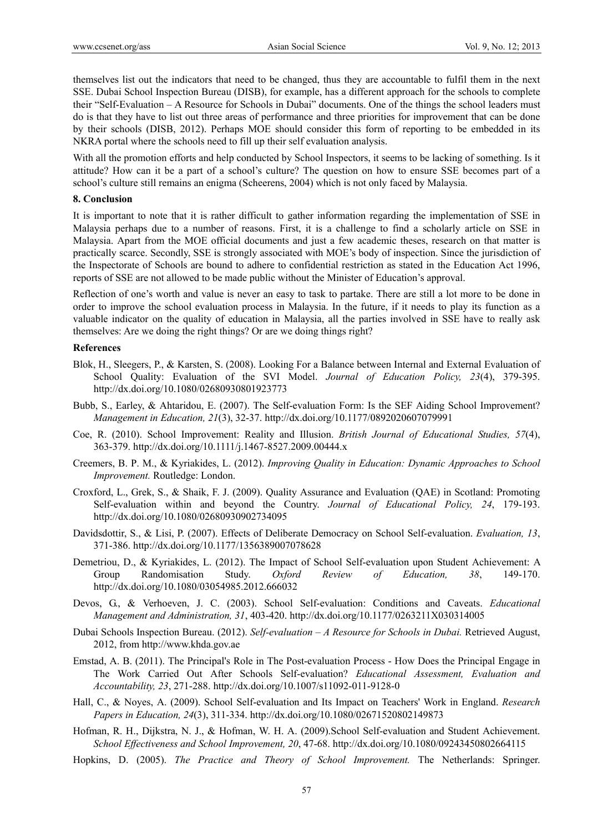themselves list out the indicators that need to be changed, thus they are accountable to fulfil them in the next SSE. Dubai School Inspection Bureau (DISB), for example, has a different approach for the schools to complete their "Self-Evaluation – A Resource for Schools in Dubai" documents. One of the things the school leaders must do is that they have to list out three areas of performance and three priorities for improvement that can be done by their schools (DISB, 2012). Perhaps MOE should consider this form of reporting to be embedded in its NKRA portal where the schools need to fill up their self evaluation analysis.

With all the promotion efforts and help conducted by School Inspectors, it seems to be lacking of something. Is it attitude? How can it be a part of a school's culture? The question on how to ensure SSE becomes part of a school's culture still remains an enigma (Scheerens, 2004) which is not only faced by Malaysia.

#### **8. Conclusion**

It is important to note that it is rather difficult to gather information regarding the implementation of SSE in Malaysia perhaps due to a number of reasons. First, it is a challenge to find a scholarly article on SSE in Malaysia. Apart from the MOE official documents and just a few academic theses, research on that matter is practically scarce. Secondly, SSE is strongly associated with MOE's body of inspection. Since the jurisdiction of the Inspectorate of Schools are bound to adhere to confidential restriction as stated in the Education Act 1996, reports of SSE are not allowed to be made public without the Minister of Education's approval.

Reflection of one's worth and value is never an easy to task to partake. There are still a lot more to be done in order to improve the school evaluation process in Malaysia. In the future, if it needs to play its function as a valuable indicator on the quality of education in Malaysia, all the parties involved in SSE have to really ask themselves: Are we doing the right things? Or are we doing things right?

#### **References**

- Blok, H., Sleegers, P., & Karsten, S. (2008). Looking For a Balance between Internal and External Evaluation of School Quality: Evaluation of the SVI Model. *Journal of Education Policy, 23*(4), 379-395. http://dx.doi.org/10.1080/02680930801923773
- Bubb, S., Earley, & Ahtaridou, E. (2007). The Self-evaluation Form: Is the SEF Aiding School Improvement? *Management in Education, 21*(3), 32-37. http://dx.doi.org/10.1177/0892020607079991
- Coe, R. (2010). School Improvement: Reality and Illusion. *British Journal of Educational Studies, 57*(4), 363-379. http://dx.doi.org/10.1111/j.1467-8527.2009.00444.x
- Creemers, B. P. M., & Kyriakides, L. (2012). *Improving Quality in Education: Dynamic Approaches to School Improvement.* Routledge: London.
- Croxford, L., Grek, S., & Shaik, F. J. (2009). Quality Assurance and Evaluation (QAE) in Scotland: Promoting Self-evaluation within and beyond the Country. *Journal of Educational Policy, 24*, 179-193. http://dx.doi.org/10.1080/02680930902734095
- Davidsdottir, S., & Lisi, P. (2007). Effects of Deliberate Democracy on School Self-evaluation. *Evaluation, 13*, 371-386. http://dx.doi.org/10.1177/1356389007078628
- Demetriou, D., & Kyriakides, L. (2012). The Impact of School Self-evaluation upon Student Achievement: A Group Randomisation Study. *Oxford Review of Education, 38*, 149-170. http://dx.doi.org/10.1080/03054985.2012.666032
- Devos, G., & Verhoeven, J. C. (2003). School Self-evaluation: Conditions and Caveats. *Educational Management and Administration, 31*, 403-420. http://dx.doi.org/10.1177/0263211X030314005
- Dubai Schools Inspection Bureau. (2012). *Self-evaluation A Resource for Schools in Dubai.* Retrieved August, 2012, from http://www.khda.gov.ae
- Emstad, A. B. (2011). The Principal's Role in The Post-evaluation Process How Does the Principal Engage in The Work Carried Out After Schools Self-evaluation? *Educational Assessment, Evaluation and Accountability, 23*, 271-288. http://dx.doi.org/10.1007/s11092-011-9128-0
- Hall, C., & Noyes, A. (2009). School Self-evaluation and Its Impact on Teachers' Work in England. *Research Papers in Education, 24*(3), 311-334. http://dx.doi.org/10.1080/02671520802149873
- Hofman, R. H., Dijkstra, N. J., & Hofman, W. H. A. (2009).School Self-evaluation and Student Achievement. *School Effectiveness and School Improvement, 20*, 47-68. http://dx.doi.org/10.1080/09243450802664115
- Hopkins, D. (2005). *The Practice and Theory of School Improvement.* The Netherlands: Springer.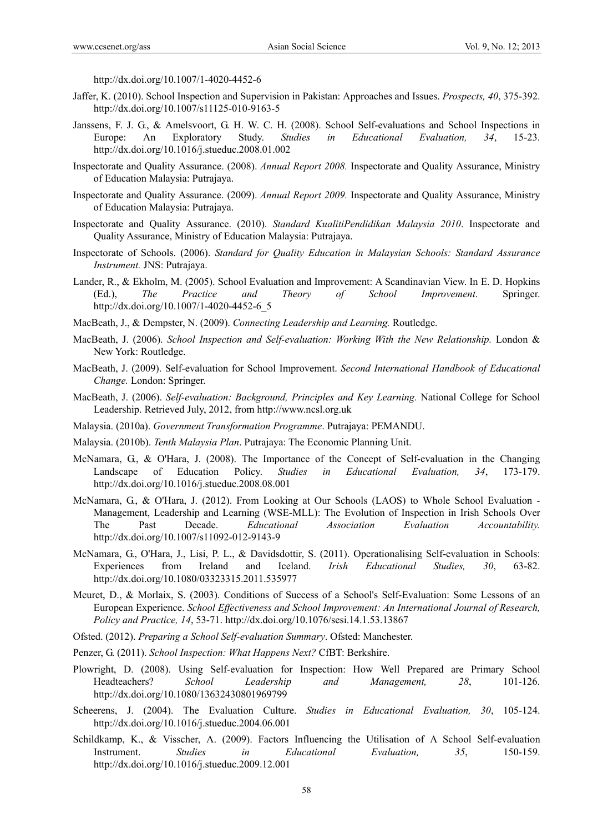http://dx.doi.org/10.1007/1-4020-4452-6

- Jaffer, K. (2010). School Inspection and Supervision in Pakistan: Approaches and Issues. *Prospects, 40*, 375-392. http://dx.doi.org/10.1007/s11125-010-9163-5
- Janssens, F. J. G., & Amelsvoort, G. H. W. C. H. (2008). School Self-evaluations and School Inspections in Europe: An Exploratory Study. *Studies in Educational Evaluation, 34*, 15-23. http://dx.doi.org/10.1016/j.stueduc.2008.01.002
- Inspectorate and Quality Assurance. (2008). *Annual Report 2008.* Inspectorate and Quality Assurance, Ministry of Education Malaysia: Putrajaya.
- Inspectorate and Quality Assurance. (2009). *Annual Report 2009.* Inspectorate and Quality Assurance, Ministry of Education Malaysia: Putrajaya.
- Inspectorate and Quality Assurance. (2010). *Standard KualitiPendidikan Malaysia 2010*. Inspectorate and Quality Assurance, Ministry of Education Malaysia: Putrajaya.
- Inspectorate of Schools. (2006). *Standard for Quality Education in Malaysian Schools: Standard Assurance Instrument.* JNS: Putrajaya.
- Lander, R., & Ekholm, M. (2005). School Evaluation and Improvement: A Scandinavian View. In E. D. Hopkins (Ed.), *The Practice and Theory of School Improvement*. Springer. http://dx.doi.org/10.1007/1-4020-4452-6\_5
- MacBeath, J., & Dempster, N. (2009). *Connecting Leadership and Learning.* Routledge.
- MacBeath, J. (2006). *School Inspection and Self-evaluation: Working With the New Relationship.* London & New York: Routledge.
- MacBeath, J. (2009). Self-evaluation for School Improvement. *Second International Handbook of Educational Change.* London: Springer.
- MacBeath, J. (2006). *Self-evaluation: Background, Principles and Key Learning.* National College for School Leadership. Retrieved July, 2012, from http://www.ncsl.org.uk
- Malaysia. (2010a). *Government Transformation Programme*. Putrajaya: PEMANDU.
- Malaysia. (2010b). *Tenth Malaysia Plan*. Putrajaya: The Economic Planning Unit.
- McNamara, G., & O'Hara, J. (2008). The Importance of the Concept of Self-evaluation in the Changing Landscape of Education Policy. *Studies in Educational Evaluation, 34*, 173-179. http://dx.doi.org/10.1016/j.stueduc.2008.08.001
- McNamara, G., & O'Hara, J. (2012). From Looking at Our Schools (LAOS) to Whole School Evaluation Management, Leadership and Learning (WSE-MLL): The Evolution of Inspection in Irish Schools Over The Past Decade. *Educational Association Evaluation Accountability.* http://dx.doi.org/10.1007/s11092-012-9143-9
- McNamara, G., O'Hara, J., Lisi, P. L., & Davidsdottir, S. (2011). Operationalising Self-evaluation in Schools: Experiences from Ireland and Iceland. *Irish Educational Studies, 30*, 63-82. http://dx.doi.org/10.1080/03323315.2011.535977
- Meuret, D., & Morlaix, S. (2003). Conditions of Success of a School's Self-Evaluation: Some Lessons of an European Experience. *School Effectiveness and School Improvement: An International Journal of Research, Policy and Practice, 14*, 53-71. http://dx.doi.org/10.1076/sesi.14.1.53.13867
- Ofsted. (2012). *Preparing a School Self-evaluation Summary*. Ofsted: Manchester.
- Penzer, G. (2011). *School Inspection: What Happens Next?* CfBT: Berkshire.
- Plowright, D. (2008). Using Self-evaluation for Inspection: How Well Prepared are Primary School Headteachers? *School Leadership and Management, 28*, 101-126. http://dx.doi.org/10.1080/13632430801969799
- Scheerens, J. (2004). The Evaluation Culture. *Studies in Educational Evaluation, 30*, 105-124. http://dx.doi.org/10.1016/j.stueduc.2004.06.001
- Schildkamp, K., & Visscher, A. (2009). Factors Influencing the Utilisation of A School Self-evaluation Instrument. *Studies in Educational Evaluation, 35*, 150-159. http://dx.doi.org/10.1016/j.stueduc.2009.12.001